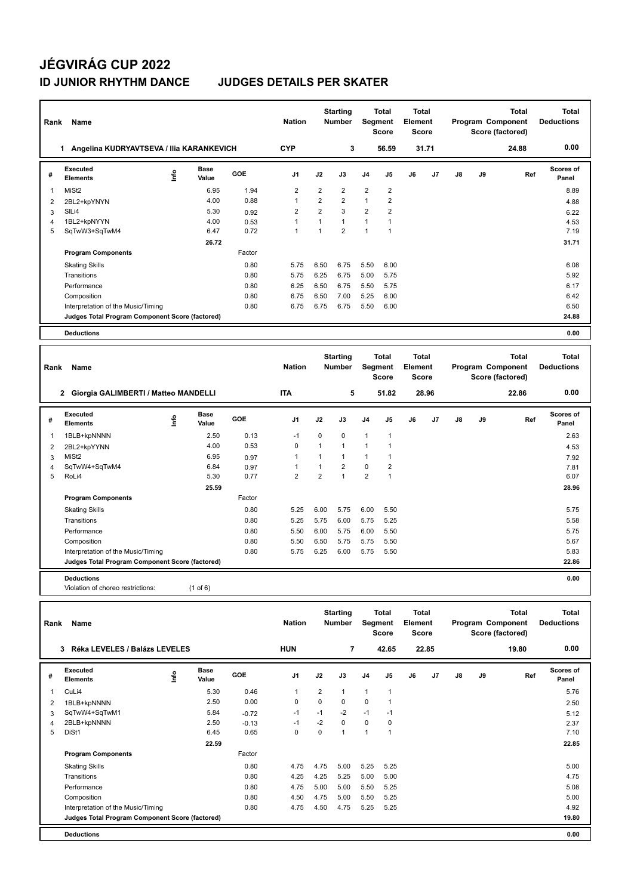### **JÉGVIRÁG CUP 2022 ID JUNIOR RHYTHM DANCE JUDGES DETAILS PER SKATER**

| Rank         | Name                                                                                  |      |                      |              | <b>Nation</b>                |                              | <b>Starting</b><br><b>Number</b> |                   | <b>Total</b><br>Segment<br><b>Score</b> | <b>Total</b><br>Element<br><b>Score</b> |                |                   |    | <b>Total</b><br>Program Component<br>Score (factored) | <b>Total</b><br><b>Deductions</b> |
|--------------|---------------------------------------------------------------------------------------|------|----------------------|--------------|------------------------------|------------------------------|----------------------------------|-------------------|-----------------------------------------|-----------------------------------------|----------------|-------------------|----|-------------------------------------------------------|-----------------------------------|
|              | 1 Angelina KUDRYAVTSEVA / Ilia KARANKEVICH                                            |      |                      |              | <b>CYP</b>                   |                              | 3                                |                   | 56.59                                   |                                         | 31.71          |                   |    | 24.88                                                 | 0.00                              |
| #            | Executed<br><b>Elements</b>                                                           | ١nf٥ | <b>Base</b><br>Value | GOE          | J1                           | J2                           | J3                               | J4                | J5                                      | J6                                      | J7             | J8                | J9 | Ref                                                   | <b>Scores of</b><br>Panel         |
| 1            | MiSt <sub>2</sub>                                                                     |      | 6.95                 | 1.94         | $\overline{2}$               | $\overline{2}$               | 2                                | $\overline{2}$    | $\overline{2}$                          |                                         |                |                   |    |                                                       | 8.89                              |
| 2            | 2BL2+kpYNYN                                                                           |      | 4.00                 | 0.88         | $\mathbf{1}$                 | $\overline{2}$               | $\overline{2}$                   | $\mathbf{1}$      | $\overline{2}$                          |                                         |                |                   |    |                                                       | 4.88                              |
| 3            | SILi4                                                                                 |      | 5.30                 | 0.92         | $\overline{2}$               | $\overline{2}$               | 3                                | $\overline{2}$    | $\overline{2}$                          |                                         |                |                   |    |                                                       | 6.22                              |
| 4            | 1BL2+kpNYYN                                                                           |      | 4.00                 | 0.53         | $\overline{1}$               | 1                            | $\mathbf{1}$                     | $\mathbf{1}$      | 1                                       |                                         |                |                   |    |                                                       | 4.53                              |
| 5            | SqTwW3+SqTwM4                                                                         |      | 6.47                 | 0.72         | $\mathbf{1}$                 | $\mathbf{1}$                 | $\overline{2}$                   | $\mathbf{1}$      | $\mathbf{1}$                            |                                         |                |                   |    |                                                       | 7.19                              |
|              |                                                                                       |      | 26.72                |              |                              |                              |                                  |                   |                                         |                                         |                |                   |    |                                                       | 31.71                             |
|              | <b>Program Components</b>                                                             |      |                      | Factor       |                              |                              |                                  |                   |                                         |                                         |                |                   |    |                                                       |                                   |
|              | <b>Skating Skills</b>                                                                 |      |                      | 0.80         | 5.75                         | 6.50                         | 6.75                             | 5.50              | 6.00                                    |                                         |                |                   |    |                                                       | 6.08                              |
|              | Transitions                                                                           |      |                      | 0.80         | 5.75                         | 6.25                         | 6.75                             | 5.00              | 5.75                                    |                                         |                |                   |    |                                                       | 5.92                              |
|              | Performance                                                                           |      |                      | 0.80         | 6.25                         | 6.50                         | 6.75                             | 5.50              | 5.75                                    |                                         |                |                   |    |                                                       | 6.17                              |
|              | Composition                                                                           |      |                      | 0.80         | 6.75                         | 6.50                         | 7.00                             | 5.25              | 6.00                                    |                                         |                |                   |    |                                                       | 6.42                              |
|              | Interpretation of the Music/Timing                                                    |      |                      | 0.80         | 6.75                         | 6.75                         | 6.75                             | 5.50              | 6.00                                    |                                         |                |                   |    |                                                       | 6.50                              |
|              | Judges Total Program Component Score (factored)                                       |      |                      |              |                              |                              |                                  |                   |                                         |                                         |                |                   |    |                                                       | 24.88                             |
|              | <b>Deductions</b>                                                                     |      |                      |              |                              |                              |                                  |                   |                                         |                                         |                |                   |    |                                                       | 0.00                              |
|              |                                                                                       |      |                      |              |                              |                              |                                  |                   |                                         |                                         |                |                   |    |                                                       |                                   |
|              |                                                                                       |      |                      |              |                              |                              | <b>Starting</b>                  |                   | <b>Total</b>                            | <b>Total</b>                            |                |                   |    | <b>Total</b>                                          | <b>Total</b>                      |
| Rank         | Name                                                                                  |      |                      |              | <b>Nation</b>                |                              | <b>Number</b>                    | Segment           |                                         | Element                                 |                | Program Component |    |                                                       | <b>Deductions</b>                 |
|              |                                                                                       |      |                      |              |                              |                              |                                  |                   | <b>Score</b>                            | Score                                   |                |                   |    | Score (factored)                                      |                                   |
|              | 2 Giorgia GALIMBERTI / Matteo MANDELLI                                                |      |                      |              | <b>ITA</b>                   |                              | 5                                |                   | 51.82                                   |                                         | 28.96          |                   |    | 22.86                                                 | 0.00                              |
|              |                                                                                       |      |                      |              |                              |                              |                                  |                   |                                         |                                         |                |                   |    |                                                       |                                   |
| #            | Executed                                                                              |      | <b>Base</b>          |              |                              |                              |                                  |                   |                                         |                                         |                |                   |    |                                                       |                                   |
| $\mathbf{1}$ | <b>Elements</b>                                                                       | lnfo | Value                | GOE          | J <sub>1</sub>               | J2                           | J3                               | J4                | J5                                      | J6                                      | J <sub>7</sub> | J8                | J9 | Ref                                                   | <b>Scores of</b><br>Panel         |
|              |                                                                                       |      | 2.50                 | 0.13         | $-1$                         | $\mathbf 0$                  | 0                                | $\mathbf{1}$      | $\mathbf{1}$                            |                                         |                |                   |    |                                                       | 2.63                              |
|              | 1BLB+kpNNNN                                                                           |      | 4.00                 | 0.53         | $\pmb{0}$                    | $\overline{1}$               | $\overline{1}$                   | $\mathbf{1}$      | 1                                       |                                         |                |                   |    |                                                       |                                   |
| 2            | 2BL2+kpYYNN                                                                           |      |                      |              |                              |                              |                                  |                   |                                         |                                         |                |                   |    |                                                       | 4.53                              |
| 3            | MiSt <sub>2</sub>                                                                     |      | 6.95<br>6.84         | 0.97         | $\mathbf{1}$<br>$\mathbf{1}$ | $\mathbf{1}$<br>$\mathbf{1}$ | $\mathbf{1}$<br>$\overline{2}$   | $\mathbf{1}$<br>0 | 1<br>$\overline{2}$                     |                                         |                |                   |    |                                                       | 7.92                              |
| 4<br>5       | SqTwW4+SqTwM4<br>RoLi4                                                                |      | 5.30                 | 0.97<br>0.77 | $\overline{2}$               | $\overline{2}$               | $\mathbf{1}$                     | $\overline{2}$    | $\mathbf{1}$                            |                                         |                |                   |    |                                                       | 7.81<br>6.07                      |
|              |                                                                                       |      | 25.59                |              |                              |                              |                                  |                   |                                         |                                         |                |                   |    |                                                       | 28.96                             |
|              | <b>Program Components</b>                                                             |      |                      | Factor       |                              |                              |                                  |                   |                                         |                                         |                |                   |    |                                                       |                                   |
|              |                                                                                       |      |                      |              |                              |                              |                                  |                   |                                         |                                         |                |                   |    |                                                       |                                   |
|              | <b>Skating Skills</b>                                                                 |      |                      | 0.80         | 5.25                         | 6.00                         | 5.75                             | 6.00              | 5.50                                    |                                         |                |                   |    |                                                       | 5.75                              |
|              | Transitions                                                                           |      |                      | 0.80         | 5.25                         | 5.75                         | 6.00                             | 5.75              | 5.25                                    |                                         |                |                   |    |                                                       | 5.58                              |
|              | Performance                                                                           |      |                      | 0.80         | 5.50                         | 6.00                         | 5.75                             | 6.00              | 5.50                                    |                                         |                |                   |    |                                                       | 5.75                              |
|              | Composition                                                                           |      |                      | 0.80         | 5.50                         | 6.50                         | 5.75                             | 5.75              | 5.50                                    |                                         |                |                   |    |                                                       | 5.67                              |
|              | Interpretation of the Music/Timing<br>Judges Total Program Component Score (factored) |      |                      | 0.80         | 5.75                         | 6.25                         | 6.00                             | 5.75              | 5.50                                    |                                         |                |                   |    |                                                       | 5.83<br>22.86                     |
|              |                                                                                       |      |                      |              |                              |                              |                                  |                   |                                         |                                         |                |                   |    |                                                       |                                   |
|              | <b>Deductions</b>                                                                     |      |                      |              |                              |                              |                                  |                   |                                         |                                         |                |                   |    |                                                       | 0.00                              |
|              | Violation of choreo restrictions:                                                     |      | (1 of 6)             |              |                              |                              |                                  |                   |                                         |                                         |                |                   |    |                                                       |                                   |
|              |                                                                                       |      |                      |              |                              |                              |                                  |                   |                                         |                                         |                |                   |    |                                                       |                                   |
| Rank         | Name                                                                                  |      |                      |              | <b>Nation</b>                |                              | <b>Starting</b><br><b>Number</b> | Segment           | <b>Total</b>                            | <b>Total</b><br><b>Element</b>          |                |                   |    | <b>Total</b><br>Program Component                     | <b>Total</b><br><b>Deductions</b> |

|   | Réka LEVELES / Balázs LEVELES<br>3              | <b>HUN</b>                   |            | 7              |                | 42.65          |                | 22.85          |    |    | 19.80 | 0.00 |     |                           |
|---|-------------------------------------------------|------------------------------|------------|----------------|----------------|----------------|----------------|----------------|----|----|-------|------|-----|---------------------------|
| # | Executed<br><b>Elements</b>                     | <b>Base</b><br>١nf٥<br>Value | <b>GOE</b> | J <sub>1</sub> | J2             | J3             | J <sub>4</sub> | J <sub>5</sub> | J6 | J7 | J8    | J9   | Ref | <b>Scores of</b><br>Panel |
| 1 | CuLi4                                           | 5.30                         | 0.46       | 1              | $\overline{2}$ | 1              | 1              | $\mathbf{1}$   |    |    |       |      |     | 5.76                      |
| 2 | 1BLB+kpNNNN                                     | 2.50                         | 0.00       | 0              | 0              | 0              | 0              | 1              |    |    |       |      |     | 2.50                      |
| 3 | SqTwW4+SqTwM1                                   | 5.84                         | $-0.72$    | $-1$           | $-1$           | $-2$           | $-1$           | $-1$           |    |    |       |      |     | 5.12                      |
| 4 | 2BLB+kpNNNN                                     | 2.50                         | $-0.13$    | $-1$           | -2             | 0              | 0              | 0              |    |    |       |      |     | 2.37                      |
| 5 | DiSt1                                           | 6.45                         | 0.65       | 0              | 0              | $\overline{4}$ | $\mathbf{1}$   | $\mathbf{1}$   |    |    |       |      |     | 7.10                      |
|   |                                                 | 22.59                        |            |                |                |                |                |                |    |    |       |      |     | 22.85                     |
|   | <b>Program Components</b>                       |                              | Factor     |                |                |                |                |                |    |    |       |      |     |                           |
|   | <b>Skating Skills</b>                           |                              | 0.80       | 4.75           | 4.75           | 5.00           | 5.25           | 5.25           |    |    |       |      |     | 5.00                      |
|   | Transitions                                     |                              | 0.80       | 4.25           | 4.25           | 5.25           | 5.00           | 5.00           |    |    |       |      |     | 4.75                      |
|   | Performance                                     |                              | 0.80       | 4.75           | 5.00           | 5.00           | 5.50           | 5.25           |    |    |       |      |     | 5.08                      |
|   | Composition                                     |                              | 0.80       | 4.50           | 4.75           | 5.00           | 5.50           | 5.25           |    |    |       |      |     | 5.00                      |
|   | Interpretation of the Music/Timing              |                              | 0.80       | 4.75           | 4.50           | 4.75           | 5.25           | 5.25           |    |    |       |      |     | 4.92                      |
|   | Judges Total Program Component Score (factored) |                              |            |                |                |                |                |                |    |    |       |      |     | 19.80                     |
|   | <b>Deductions</b>                               |                              |            |                |                |                |                |                |    |    |       |      |     | 0.00                      |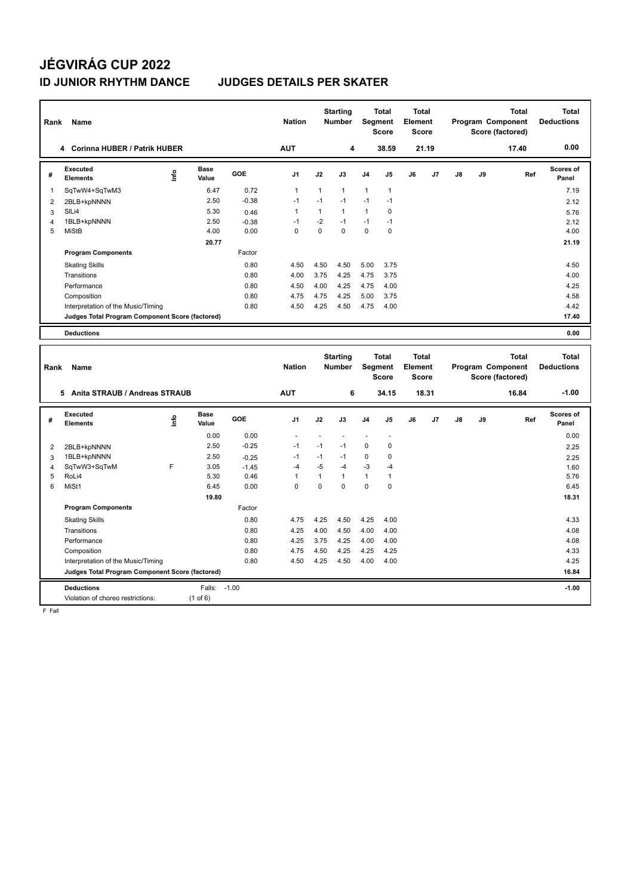# **JÉGVIRÁG CUP 2022 ID JUNIOR RHYTHM DANCE JUDGES DETAILS PER SKATER**

| Rank           | Name                                            |      |                      |            | <b>Nation</b>  |                                  | <b>Starting</b><br><b>Number</b> | Segment                                 | Total<br><b>Score</b> | <b>Total</b><br>Element<br><b>Score</b> |                |                                       |    | <b>Total</b><br>Program Component<br>Score (factored) | <b>Total</b><br><b>Deductions</b> |
|----------------|-------------------------------------------------|------|----------------------|------------|----------------|----------------------------------|----------------------------------|-----------------------------------------|-----------------------|-----------------------------------------|----------------|---------------------------------------|----|-------------------------------------------------------|-----------------------------------|
|                | 4 Corinna HUBER / Patrik HUBER                  |      |                      |            | <b>AUT</b>     |                                  | 4                                |                                         | 38.59                 |                                         | 21.19          |                                       |    | 17.40                                                 | 0.00                              |
| #              | Executed<br><b>Elements</b>                     | ١nf٥ | Base<br>Value        | <b>GOE</b> | J <sub>1</sub> | J2                               | J3                               | J <sub>4</sub>                          | J5                    | J6                                      | J <sub>7</sub> | J8                                    | J9 | Ref                                                   | Scores of<br>Panel                |
| $\overline{1}$ | SqTwW4+SqTwM3                                   |      | 6.47                 | 0.72       | $\mathbf{1}$   | $\mathbf{1}$                     | $\mathbf{1}$                     | $\overline{1}$                          | $\mathbf{1}$          |                                         |                |                                       |    |                                                       | 7.19                              |
| $\overline{2}$ | 2BLB+kpNNNN                                     |      | 2.50                 | $-0.38$    | $-1$           | $-1$                             | $-1$                             | $-1$                                    | $-1$                  |                                         |                |                                       |    |                                                       | 2.12                              |
| 3              | SILi4                                           |      | 5.30                 | 0.46       | $\mathbf{1}$   | $\mathbf{1}$                     | $\mathbf{1}$                     | $\mathbf{1}$                            | $\mathbf 0$           |                                         |                |                                       |    |                                                       | 5.76                              |
| $\overline{4}$ | 1BLB+kpNNNN                                     |      | 2.50                 | $-0.38$    | $-1$           | $-2$                             | $-1$                             | $-1$                                    | $-1$                  |                                         |                |                                       |    |                                                       | 2.12                              |
| 5              | <b>MiStB</b>                                    |      | 4.00                 | 0.00       | $\Omega$       | $\Omega$                         | $\mathbf 0$                      | $\Omega$                                | $\mathbf 0$           |                                         |                |                                       |    |                                                       | 4.00                              |
|                |                                                 |      | 20.77                |            |                |                                  |                                  |                                         |                       |                                         |                |                                       |    |                                                       | 21.19                             |
|                | <b>Program Components</b>                       |      |                      | Factor     |                |                                  |                                  |                                         |                       |                                         |                |                                       |    |                                                       |                                   |
|                | <b>Skating Skills</b>                           |      |                      | 0.80       | 4.50           | 4.50                             | 4.50                             | 5.00                                    | 3.75                  |                                         |                |                                       |    |                                                       | 4.50                              |
|                | Transitions                                     |      |                      | 0.80       | 4.00           | 3.75                             | 4.25                             | 4.75                                    | 3.75                  |                                         |                |                                       |    |                                                       | 4.00                              |
|                | Performance                                     |      |                      | 0.80       | 4.50           | 4.00                             | 4.25                             | 4.75                                    | 4.00                  |                                         |                |                                       |    |                                                       | 4.25                              |
|                | Composition                                     |      |                      | 0.80       | 4.75           | 4.75                             | 4.25                             | 5.00                                    | 3.75                  |                                         |                |                                       |    |                                                       | 4.58                              |
|                | Interpretation of the Music/Timing              |      |                      | 0.80       | 4.50           | 4.25                             | 4.50                             | 4.75                                    | 4.00                  |                                         |                |                                       |    |                                                       | 4.42                              |
|                | Judges Total Program Component Score (factored) |      |                      |            |                |                                  |                                  |                                         |                       |                                         |                |                                       |    |                                                       | 17.40                             |
|                | <b>Deductions</b>                               |      |                      |            |                |                                  |                                  |                                         |                       |                                         |                |                                       |    |                                                       | 0.00                              |
|                |                                                 |      |                      |            |                |                                  |                                  |                                         |                       |                                         |                |                                       |    |                                                       |                                   |
| Rank           | <b>Name</b>                                     |      |                      |            | <b>Nation</b>  | <b>Starting</b><br><b>Number</b> |                                  | <b>Total</b><br>Segment<br><b>Score</b> |                       | Total<br>Element<br><b>Score</b>        |                | Program Component<br>Score (factored) |    | Total                                                 | <b>Total</b><br><b>Deductions</b> |
|                | Anita STRAUB / Andreas STRAUB<br>5              |      |                      |            | <b>AUT</b>     |                                  | 6                                |                                         | 34.15                 |                                         | 18.31          |                                       |    | 16.84                                                 | $-1.00$                           |
| #              | Executed<br><b>Elements</b>                     | lnfo | <b>Base</b><br>Value | <b>GOE</b> | J <sub>1</sub> | J2                               | J3                               | J <sub>4</sub>                          | J5                    | J6                                      | J7             | $\mathsf{J}8$                         | J9 | Ref                                                   | <b>Scores of</b><br>Panel         |
|                |                                                 |      | 0.00                 | 0.00       | ä,             |                                  |                                  | ٠                                       | $\blacksquare$        |                                         |                |                                       |    |                                                       | 0.00                              |
| $\overline{2}$ | 2BLB+kpNNNN                                     |      | 2.50                 | $-0.25$    | $-1$           | $-1$                             | $-1$                             | 0                                       | 0                     |                                         |                |                                       |    |                                                       | 2.25                              |
| 3              | 1BLB+kpNNNN                                     |      | 2.50                 | $-0.25$    | $-1$           | $-1$                             | $-1$                             | 0                                       | 0                     |                                         |                |                                       |    |                                                       | 2.25                              |
| $\overline{4}$ | SqTwW3+SqTwM                                    | F    | 3.05                 | $-1.45$    | $-4$           | $-5$                             | $-4$                             | $-3$                                    | $-4$                  |                                         |                |                                       |    |                                                       | 1.60                              |
| 5              | RoLi4                                           |      | 5.30                 | 0.46       | $\mathbf{1}$   | $\mathbf{1}$                     | $\mathbf{1}$                     | $\mathbf{1}$                            | $\mathbf{1}$          |                                         |                |                                       |    |                                                       | 5.76                              |
| 6              | MiSt1                                           |      | 6.45                 | 0.00       | $\Omega$       | $\Omega$                         | $\mathbf 0$                      | $\mathbf 0$                             | $\mathbf 0$           |                                         |                |                                       |    |                                                       | 6.45                              |

|   | Violation of choreo restrictions:               | $(1$ of 6) |         |      |      |      |      |             |         |
|---|-------------------------------------------------|------------|---------|------|------|------|------|-------------|---------|
|   | <b>Deductions</b>                               | Falls:     | $-1.00$ |      |      |      |      |             | $-1.00$ |
|   | Judges Total Program Component Score (factored) |            |         |      |      |      |      |             | 16.84   |
|   | Interpretation of the Music/Timing              |            | 0.80    | 4.50 | 4.25 | 4.50 | 4.00 | 4.00        | 4.25    |
|   | Composition                                     |            | 0.80    | 4.75 | 4.50 | 4.25 | 4.25 | 4.25        | 4.33    |
|   | Performance                                     |            | 0.80    | 4.25 | 3.75 | 4.25 | 4.00 | 4.00        | 4.08    |
|   | Transitions                                     |            | 0.80    | 4.25 | 4.00 | 4.50 | 4.00 | 4.00        | 4.08    |
|   | <b>Skating Skills</b>                           |            | 0.80    | 4.75 | 4.25 | 4.50 | 4.25 | 4.00        | 4.33    |
|   | <b>Program Components</b>                       |            | Factor  |      |      |      |      |             |         |
|   |                                                 | 19.80      |         |      |      |      |      |             | 18.31   |
| 6 | MiSt1                                           | 6.45       | 0.00    | 0    | 0    | 0    | 0    | $\mathbf 0$ | 6.45    |
| 5 | RoLi4                                           | 5.30       | 0.46    |      |      |      |      | 1           | 5.76    |
| 4 | SqTwW3+SqTwM                                    | F<br>3.05  | $-1.45$ | -4   | $-5$ | $-4$ | $-3$ | $-4$        | 1.60    |
| 3 | 1BLB+KDNNNN                                     | 2.50       | $-0.25$ | -1   | -1   | -1   | U    | U           | 2.25    |

F Fall